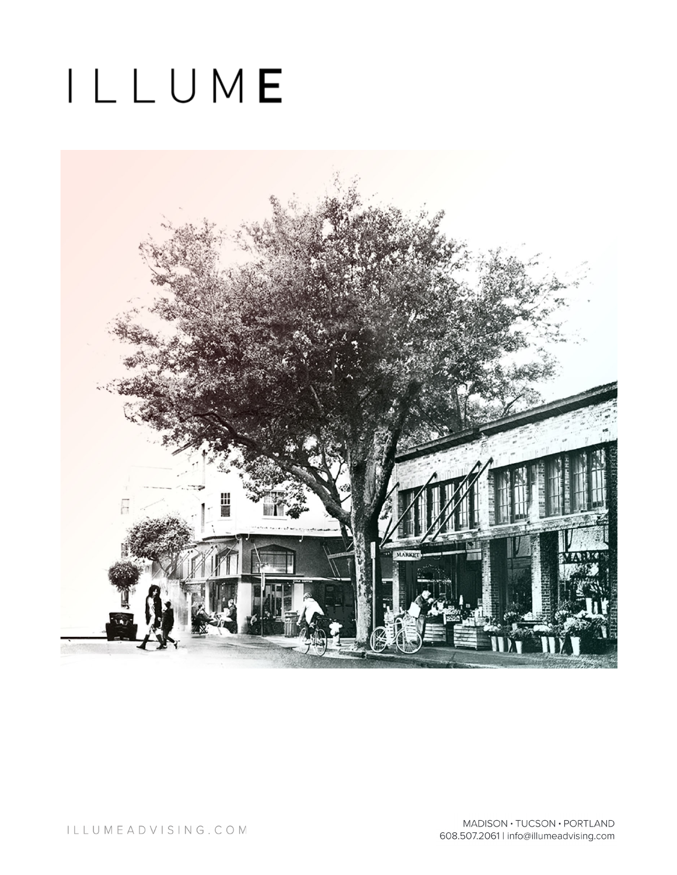# ILLUME

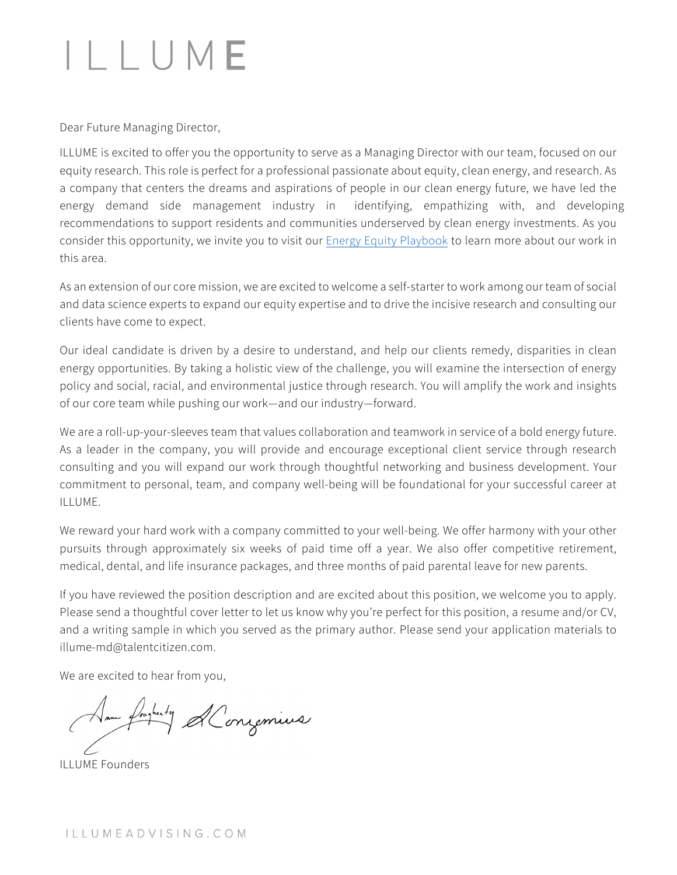## ILLUME

Dear Future Managing Director,

ILLUME is excited to offer you the opportunity to serve as a Managing Director with our team, focused on our equity research. This role is perfect for a professional passionate about equity, clean energy, and research. As a company that centers the dreams and aspirations of people in our clean energy future, we have led the energy demand side management industry in identifying, empathizing with, and developing recommendations to support residents and communities underserved by clean energy investments. As you consider this opportunity, we invite you to visit our [Energy Equity Playbook](https://illumeadvising.com/resource/the-energy-equity-playbook/) to learn more about our work in this area.

As an extension of our core mission, we are excited to welcome a self-starter to work among our team of social and data science experts to expand our equity expertise and to drive the incisive research and consulting our clients have come to expect.

Our ideal candidate is driven by a desire to understand, and help our clients remedy, disparities in clean energy opportunities. By taking a holistic view of the challenge, you will examine the intersection of energy policy and social, racial, and environmental justice through research. You will amplify the work and insights of our core team while pushing our work—and our industry—forward.

We are a roll-up-your-sleeves team that values collaboration and teamwork in service of a bold energy future. As a leader in the company, you will provide and encourage exceptional client service through research consulting and you will expand our work through thoughtful networking and business development. Your commitment to personal, team, and company well-being will be foundational for your successful career at ILLUME.

We reward your hard work with a company committed to your well-being. We offer harmony with your other pursuits through approximately six weeks of paid time off a year. We also offer competitive retirement, medical, dental, and life insurance packages, and three months of paid parental leave for new parents.

If you have reviewed the position description and are excited about this position, we welcome you to apply. Please send a thoughtful cover letter to let us know why you're perfect for this position, a resume and/or CV, and a writing sample in which you served as the primary author. Please send your application materials to illume-md@talentcitizen.com.

We are excited to hear from you,

Same fourtuity Alongemius

ILLUME Founders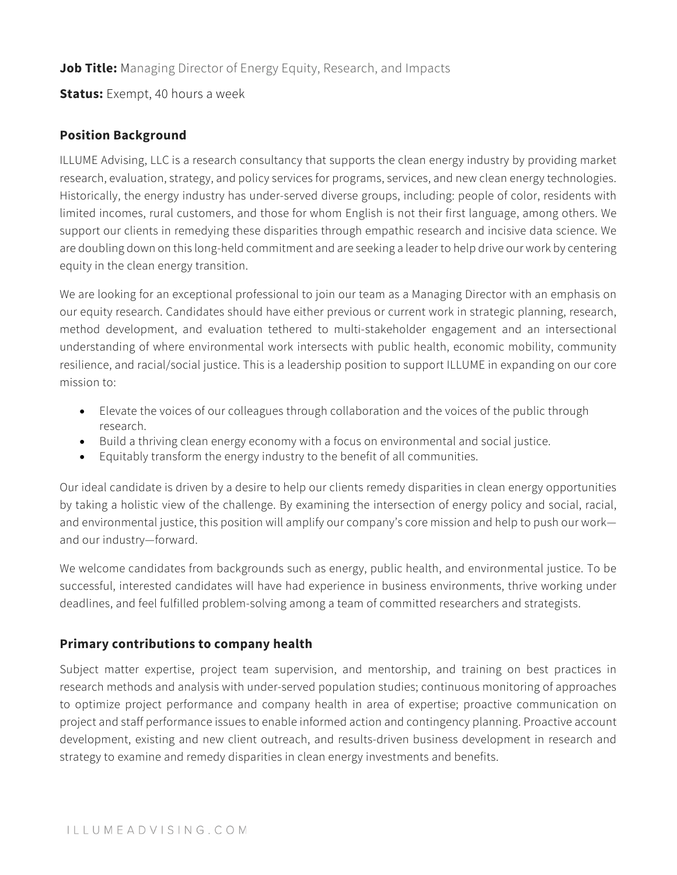### **Job Title:** Managing Director of Energy Equity, Research, and Impacts

**Status:** Exempt, 40 hours a week

#### **Position Background**

ILLUME Advising, LLC is a research consultancy that supports the clean energy industry by providing market research, evaluation, strategy, and policy services for programs, services, and new clean energy technologies. Historically, the energy industry has under-served diverse groups, including: people of color, residents with limited incomes, rural customers, and those for whom English is not their first language, among others. We support our clients in remedying these disparities through empathic research and incisive data science. We are doubling down on this long-held commitment and are seeking a leader to help drive our work by centering equity in the clean energy transition.

We are looking for an exceptional professional to join our team as a Managing Director with an emphasis on our equity research. Candidates should have either previous or current work in strategic planning, research, method development, and evaluation tethered to multi-stakeholder engagement and an intersectional understanding of where environmental work intersects with public health, economic mobility, community resilience, and racial/social justice. This is a leadership position to support ILLUME in expanding on our core mission to:

- Elevate the voices of our colleagues through collaboration and the voices of the public through research.
- Build a thriving clean energy economy with a focus on environmental and social justice.
- Equitably transform the energy industry to the benefit of all communities.

Our ideal candidate is driven by a desire to help our clients remedy disparities in clean energy opportunities by taking a holistic view of the challenge. By examining the intersection of energy policy and social, racial, and environmental justice, this position will amplify our company's core mission and help to push our work and our industry—forward.

We welcome candidates from backgrounds such as energy, public health, and environmental justice. To be successful, interested candidates will have had experience in business environments, thrive working under deadlines, and feel fulfilled problem-solving among a team of committed researchers and strategists.

### **Primary contributions to company health**

Subject matter expertise, project team supervision, and mentorship, and training on best practices in research methods and analysis with under-served population studies; continuous monitoring of approaches to optimize project performance and company health in area of expertise; proactive communication on project and staff performance issues to enable informed action and contingency planning. Proactive account development, existing and new client outreach, and results-driven business development in research and strategy to examine and remedy disparities in clean energy investments and benefits.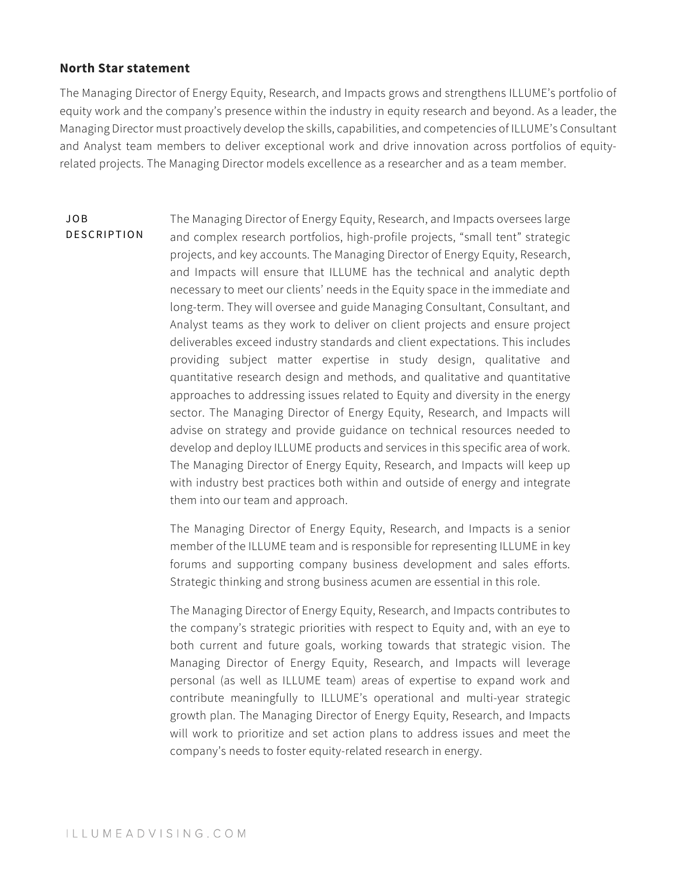#### **North Star statement**

The Managing Director of Energy Equity, Research, and Impacts grows and strengthens ILLUME's portfolio of equity work and the company's presence within the industry in equity research and beyond. As a leader, the Managing Director must proactively develop the skills, capabilities, and competencies of ILLUME's Consultant and Analyst team members to deliver exceptional work and drive innovation across portfolios of equityrelated projects. The Managing Director models excellence as a researcher and as a team member.

JOB DESCRIPTION The Managing Director of Energy Equity, Research, and Impacts oversees large and complex research portfolios, high-profile projects, "small tent" strategic projects, and key accounts. The Managing Director of Energy Equity, Research, and Impacts will ensure that ILLUME has the technical and analytic depth necessary to meet our clients' needs in the Equity space in the immediate and long-term. They will oversee and guide Managing Consultant, Consultant, and Analyst teams as they work to deliver on client projects and ensure project deliverables exceed industry standards and client expectations. This includes providing subject matter expertise in study design, qualitative and quantitative research design and methods, and qualitative and quantitative approaches to addressing issues related to Equity and diversity in the energy sector. The Managing Director of Energy Equity, Research, and Impacts will advise on strategy and provide guidance on technical resources needed to develop and deploy ILLUME products and services in this specific area of work. The Managing Director of Energy Equity, Research, and Impacts will keep up with industry best practices both within and outside of energy and integrate them into our team and approach.

> The Managing Director of Energy Equity, Research, and Impacts is a senior member of the ILLUME team and is responsible for representing ILLUME in key forums and supporting company business development and sales efforts. Strategic thinking and strong business acumen are essential in this role.

> The Managing Director of Energy Equity, Research, and Impacts contributes to the company's strategic priorities with respect to Equity and, with an eye to both current and future goals, working towards that strategic vision. The Managing Director of Energy Equity, Research, and Impacts will leverage personal (as well as ILLUME team) areas of expertise to expand work and contribute meaningfully to ILLUME's operational and multi-year strategic growth plan. The Managing Director of Energy Equity, Research, and Impacts will work to prioritize and set action plans to address issues and meet the company's needs to foster equity-related research in energy.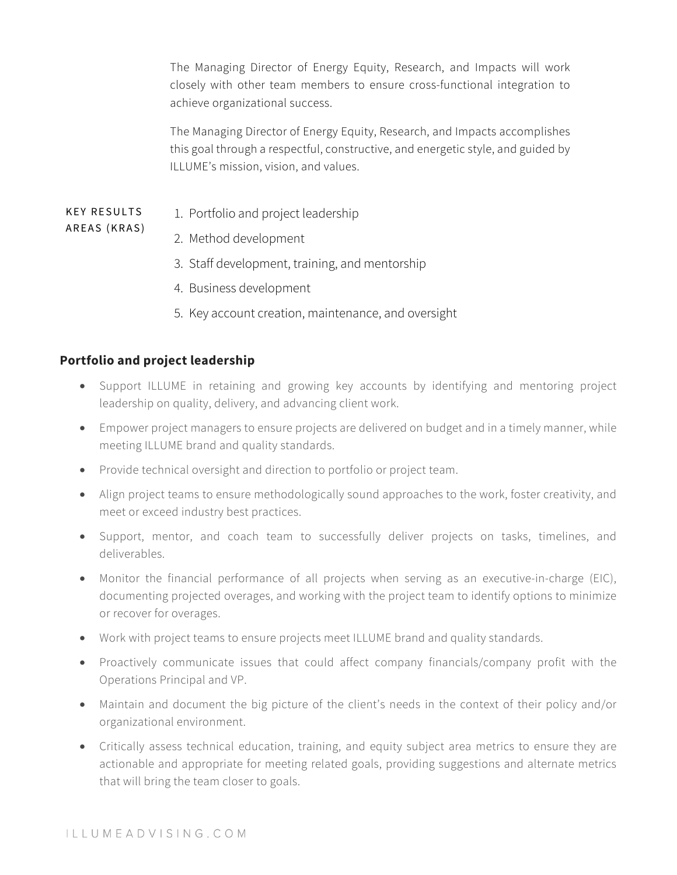The Managing Director of Energy Equity, Research, and Impacts will work closely with other team members to ensure cross-functional integration to achieve organizational success.

The Managing Director of Energy Equity, Research, and Impacts accomplishes this goal through a respectful, constructive, and energetic style, and guided by ILLUME's mission, vision, and values.

#### KEY RESULTS 1. Portfolio and project leadership

- 2. Method development
- 3. Staff development, training, and mentorship
- 4. Business development
- 5. Key account creation, maintenance, and oversight

#### **Portfolio and project leadership**

AREAS (KRAS)

- Support ILLUME in retaining and growing key accounts by identifying and mentoring project leadership on quality, delivery, and advancing client work.
- Empower project managers to ensure projects are delivered on budget and in a timely manner, while meeting ILLUME brand and quality standards.
- Provide technical oversight and direction to portfolio or project team.
- Align project teams to ensure methodologically sound approaches to the work, foster creativity, and meet or exceed industry best practices.
- Support, mentor, and coach team to successfully deliver projects on tasks, timelines, and deliverables.
- Monitor the financial performance of all projects when serving as an executive-in-charge (EIC), documenting projected overages, and working with the project team to identify options to minimize or recover for overages.
- Work with project teams to ensure projects meet ILLUME brand and quality standards.
- Proactively communicate issues that could affect company financials/company profit with the Operations Principal and VP.
- Maintain and document the big picture of the client's needs in the context of their policy and/or organizational environment.
- Critically assess technical education, training, and equity subject area metrics to ensure they are actionable and appropriate for meeting related goals, providing suggestions and alternate metrics that will bring the team closer to goals.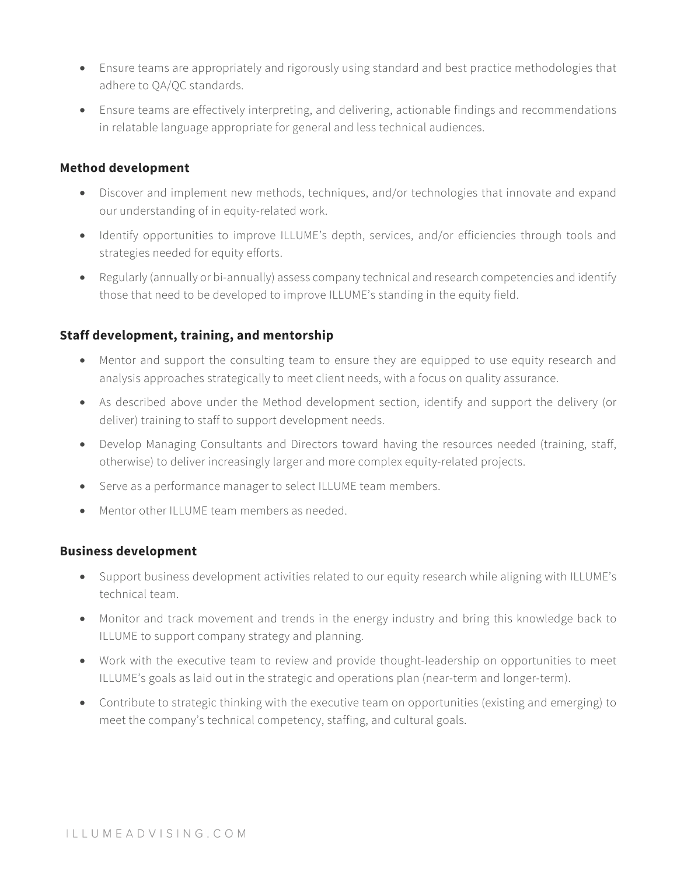- Ensure teams are appropriately and rigorously using standard and best practice methodologies that adhere to QA/QC standards.
- Ensure teams are effectively interpreting, and delivering, actionable findings and recommendations in relatable language appropriate for general and less technical audiences.

#### **Method development**

- Discover and implement new methods, techniques, and/or technologies that innovate and expand our understanding of in equity-related work.
- Identify opportunities to improve ILLUME's depth, services, and/or efficiencies through tools and strategies needed for equity efforts.
- Regularly (annually or bi-annually) assess company technical and research competencies and identify those that need to be developed to improve ILLUME's standing in the equity field.

#### **Staff development, training, and mentorship**

- Mentor and support the consulting team to ensure they are equipped to use equity research and analysis approaches strategically to meet client needs, with a focus on quality assurance.
- As described above under the Method development section, identify and support the delivery (or deliver) training to staff to support development needs.
- Develop Managing Consultants and Directors toward having the resources needed (training, staff, otherwise) to deliver increasingly larger and more complex equity-related projects.
- Serve as a performance manager to select ILLUME team members.
- Mentor other ILLUME team members as needed.

#### **Business development**

- Support business development activities related to our equity research while aligning with ILLUME's technical team.
- Monitor and track movement and trends in the energy industry and bring this knowledge back to ILLUME to support company strategy and planning.
- Work with the executive team to review and provide thought-leadership on opportunities to meet ILLUME's goals as laid out in the strategic and operations plan (near-term and longer-term).
- Contribute to strategic thinking with the executive team on opportunities (existing and emerging) to meet the company's technical competency, staffing, and cultural goals.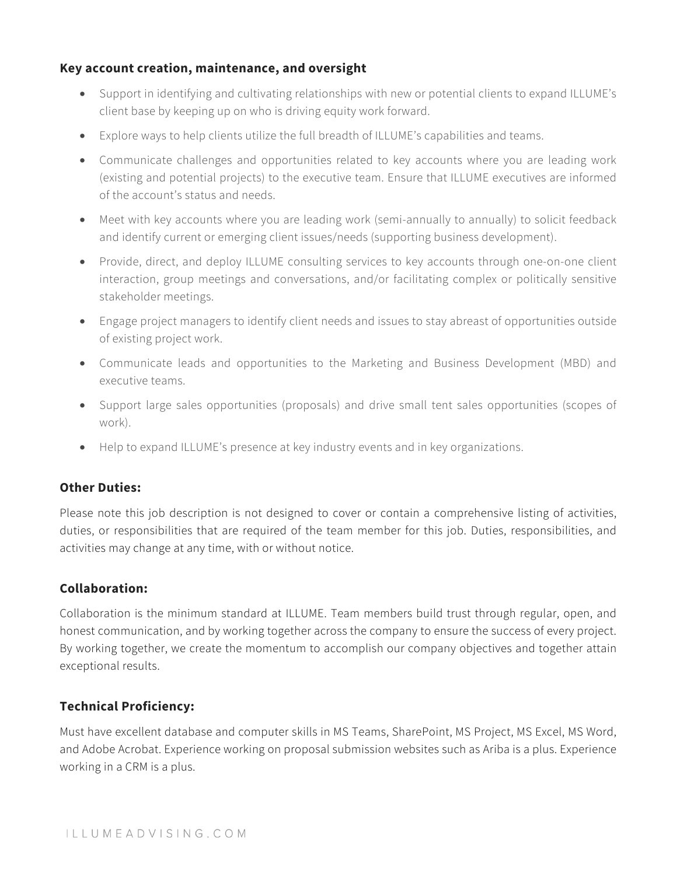#### **Key account creation, maintenance, and oversight**

- Support in identifying and cultivating relationships with new or potential clients to expand ILLUME's client base by keeping up on who is driving equity work forward.
- Explore ways to help clients utilize the full breadth of ILLUME's capabilities and teams.
- Communicate challenges and opportunities related to key accounts where you are leading work (existing and potential projects) to the executive team. Ensure that ILLUME executives are informed of the account's status and needs.
- Meet with key accounts where you are leading work (semi-annually to annually) to solicit feedback and identify current or emerging client issues/needs (supporting business development).
- Provide, direct, and deploy ILLUME consulting services to key accounts through one-on-one client interaction, group meetings and conversations, and/or facilitating complex or politically sensitive stakeholder meetings.
- Engage project managers to identify client needs and issues to stay abreast of opportunities outside of existing project work.
- Communicate leads and opportunities to the Marketing and Business Development (MBD) and executive teams.
- Support large sales opportunities (proposals) and drive small tent sales opportunities (scopes of work).
- Help to expand ILLUME's presence at key industry events and in key organizations.

#### **Other Duties:**

Please note this job description is not designed to cover or contain a comprehensive listing of activities, duties, or responsibilities that are required of the team member for this job. Duties, responsibilities, and activities may change at any time, with or without notice.

#### **Collaboration:**

Collaboration is the minimum standard at ILLUME. Team members build trust through regular, open, and honest communication, and by working together across the company to ensure the success of every project. By working together, we create the momentum to accomplish our company objectives and together attain exceptional results.

#### **Technical Proficiency:**

Must have excellent database and computer skills in MS Teams, SharePoint, MS Project, MS Excel, MS Word, and Adobe Acrobat. Experience working on proposal submission websites such as Ariba is a plus. Experience working in a CRM is a plus.